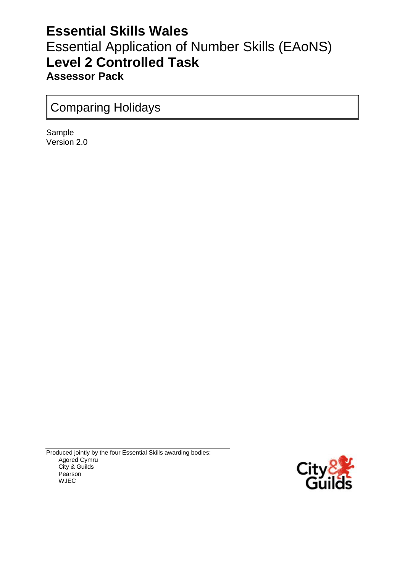## **Essential Skills Wales** Essential Application of Number Skills (EAoNS) **Level 2 Controlled Task Assessor Pack**

## Comparing Holidays

Sample Version 2.0

Produced jointly by the four Essential Skills awarding bodies: Agored Cymru City & Guilds Pearson WJEC

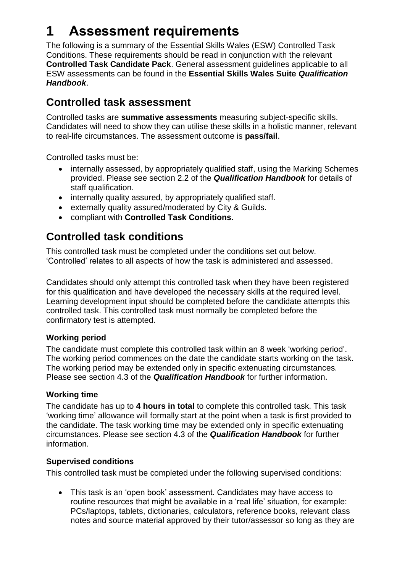# **1 Assessment requirements**

The following is a summary of the Essential Skills Wales (ESW) Controlled Task Conditions. These requirements should be read in conjunction with the relevant **Controlled Task Candidate Pack**. General assessment guidelines applicable to all ESW assessments can be found in the **Essential Skills Wales Suite** *Qualification Handbook*.

### **Controlled task assessment**

Controlled tasks are **summative assessments** measuring subject-specific skills. Candidates will need to show they can utilise these skills in a holistic manner, relevant to real-life circumstances. The assessment outcome is **pass/fail**.

Controlled tasks must be:

- internally assessed, by appropriately qualified staff, using the Marking Schemes provided. Please see section 2.2 of the *Qualification Handbook* for details of staff qualification.
- internally quality assured, by appropriately qualified staff.
- externally quality assured/moderated by City & Guilds.
- compliant with **Controlled Task Conditions**.

### **Controlled task conditions**

This controlled task must be completed under the conditions set out below. 'Controlled' relates to all aspects of how the task is administered and assessed.

Candidates should only attempt this controlled task when they have been registered for this qualification and have developed the necessary skills at the required level. Learning development input should be completed before the candidate attempts this controlled task. This controlled task must normally be completed before the confirmatory test is attempted.

#### **Working period**

The candidate must complete this controlled task within an 8 week 'working period'. The working period commences on the date the candidate starts working on the task. The working period may be extended only in specific extenuating circumstances. Please see section 4.3 of the *Qualification Handbook* for further information.

#### **Working time**

The candidate has up to **4 hours in total** to complete this controlled task. This task 'working time' allowance will formally start at the point when a task is first provided to the candidate. The task working time may be extended only in specific extenuating circumstances. Please see section 4.3 of the *Qualification Handbook* for further information.

#### **Supervised conditions**

This controlled task must be completed under the following supervised conditions:

 This task is an 'open book' assessment. Candidates may have access to routine resources that might be available in a 'real life' situation, for example: PCs/laptops, tablets, dictionaries, calculators, reference books, relevant class notes and source material approved by their tutor/assessor so long as they are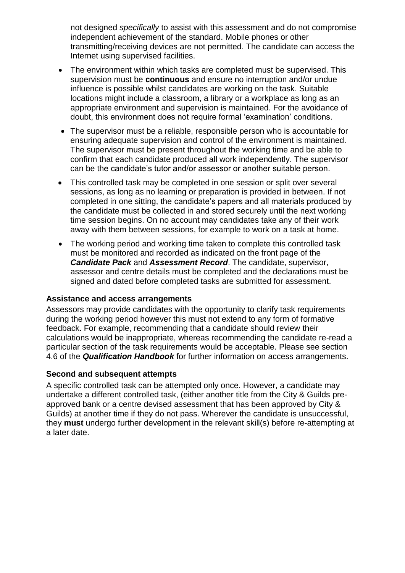not designed *specifically* to assist with this assessment and do not compromise independent achievement of the standard. Mobile phones or other transmitting/receiving devices are not permitted. The candidate can access the Internet using supervised facilities.

- The environment within which tasks are completed must be supervised. This supervision must be **continuous** and ensure no interruption and/or undue influence is possible whilst candidates are working on the task. Suitable locations might include a classroom, a library or a workplace as long as an appropriate environment and supervision is maintained. For the avoidance of doubt, this environment does not require formal 'examination' conditions.
- The supervisor must be a reliable, responsible person who is accountable for ensuring adequate supervision and control of the environment is maintained. The supervisor must be present throughout the working time and be able to confirm that each candidate produced all work independently. The supervisor can be the candidate's tutor and/or assessor or another suitable person.
- This controlled task may be completed in one session or split over several sessions, as long as no learning or preparation is provided in between. If not completed in one sitting, the candidate's papers and all materials produced by the candidate must be collected in and stored securely until the next working time session begins. On no account may candidates take any of their work away with them between sessions, for example to work on a task at home.
- The working period and working time taken to complete this controlled task must be monitored and recorded as indicated on the front page of the *Candidate Pack* and *Assessment Record*. The candidate, supervisor, assessor and centre details must be completed and the declarations must be signed and dated before completed tasks are submitted for assessment.

#### **Assistance and access arrangements**

Assessors may provide candidates with the opportunity to clarify task requirements during the working period however this must not extend to any form of formative feedback. For example, recommending that a candidate should review their calculations would be inappropriate, whereas recommending the candidate re-read a particular section of the task requirements would be acceptable. Please see section 4.6 of the *Qualification Handbook* for further information on access arrangements.

#### **Second and subsequent attempts**

A specific controlled task can be attempted only once. However, a candidate may undertake a different controlled task, (either another title from the City & Guilds preapproved bank or a centre devised assessment that has been approved by City & Guilds) at another time if they do not pass. Wherever the candidate is unsuccessful, they **must** undergo further development in the relevant skill(s) before re-attempting at a later date.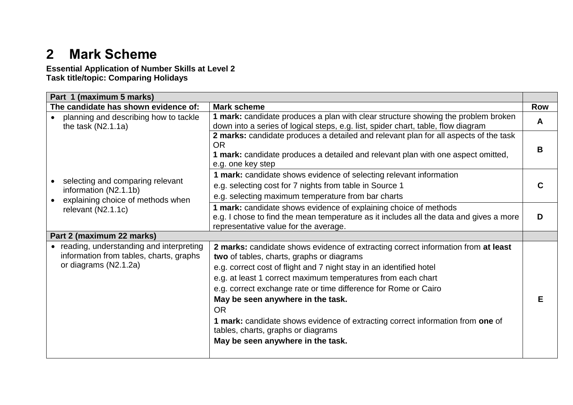# **2 Mark Scheme**

**Essential Application of Number Skills at Level 2 Task title/topic: Comparing Holidays**

| Part 1 (maximum 5 marks)                                                                                      |                                                                                                                                                                                                                                                                                                                                                                                                                                                                                                                                                         |            |
|---------------------------------------------------------------------------------------------------------------|---------------------------------------------------------------------------------------------------------------------------------------------------------------------------------------------------------------------------------------------------------------------------------------------------------------------------------------------------------------------------------------------------------------------------------------------------------------------------------------------------------------------------------------------------------|------------|
| The candidate has shown evidence of:                                                                          | <b>Mark scheme</b>                                                                                                                                                                                                                                                                                                                                                                                                                                                                                                                                      | <b>Row</b> |
| planning and describing how to tackle<br>the task $(N2.1.1a)$                                                 | 1 mark: candidate produces a plan with clear structure showing the problem broken<br>down into a series of logical steps, e.g. list, spider chart, table, flow diagram                                                                                                                                                                                                                                                                                                                                                                                  | A          |
|                                                                                                               | 2 marks: candidate produces a detailed and relevant plan for all aspects of the task<br><b>OR</b><br>1 mark: candidate produces a detailed and relevant plan with one aspect omitted,<br>e.g. one key step                                                                                                                                                                                                                                                                                                                                              | в          |
| selecting and comparing relevant<br>information (N2.1.1b)<br>explaining choice of methods when                | 1 mark: candidate shows evidence of selecting relevant information<br>e.g. selecting cost for 7 nights from table in Source 1<br>e.g. selecting maximum temperature from bar charts                                                                                                                                                                                                                                                                                                                                                                     |            |
| relevant (N2.1.1c)                                                                                            | 1 mark: candidate shows evidence of explaining choice of methods<br>e.g. I chose to find the mean temperature as it includes all the data and gives a more<br>representative value for the average.                                                                                                                                                                                                                                                                                                                                                     | D          |
| Part 2 (maximum 22 marks)                                                                                     |                                                                                                                                                                                                                                                                                                                                                                                                                                                                                                                                                         |            |
| • reading, understanding and interpreting<br>information from tables, charts, graphs<br>or diagrams (N2.1.2a) | 2 marks: candidate shows evidence of extracting correct information from at least<br>two of tables, charts, graphs or diagrams<br>e.g. correct cost of flight and 7 night stay in an identified hotel<br>e.g. at least 1 correct maximum temperatures from each chart<br>e.g. correct exchange rate or time difference for Rome or Cairo<br>May be seen anywhere in the task.<br><b>OR</b><br>1 mark: candidate shows evidence of extracting correct information from one of<br>tables, charts, graphs or diagrams<br>May be seen anywhere in the task. | F          |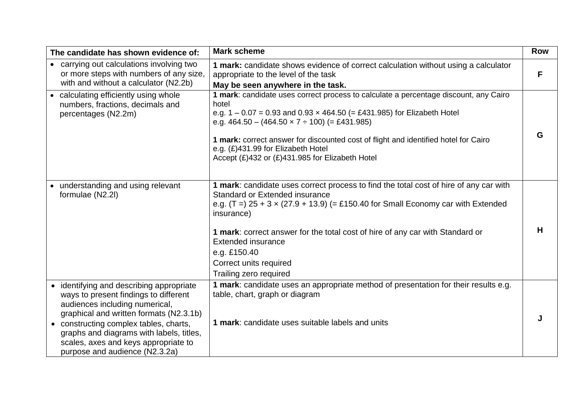| The candidate has shown evidence of:                                                                                                                                                                                                                                                                                           | <b>Mark scheme</b>                                                                                                                                                                                                                                                                                                                                                                                                           | <b>Row</b> |
|--------------------------------------------------------------------------------------------------------------------------------------------------------------------------------------------------------------------------------------------------------------------------------------------------------------------------------|------------------------------------------------------------------------------------------------------------------------------------------------------------------------------------------------------------------------------------------------------------------------------------------------------------------------------------------------------------------------------------------------------------------------------|------------|
| • carrying out calculations involving two<br>or more steps with numbers of any size,<br>with and without a calculator (N2.2b)                                                                                                                                                                                                  | 1 mark: candidate shows evidence of correct calculation without using a calculator<br>appropriate to the level of the task<br>May be seen anywhere in the task.                                                                                                                                                                                                                                                              | F          |
| • calculating efficiently using whole<br>numbers, fractions, decimals and<br>percentages (N2.2m)                                                                                                                                                                                                                               | 1 mark: candidate uses correct process to calculate a percentage discount, any Cairo<br>hotel<br>e.g. $1 - 0.07 = 0.93$ and $0.93 \times 464.50$ (= £431.985) for Elizabeth Hotel<br>e.g. $464.50 - (464.50 \times 7 \div 100)$ (= £431.985)<br>1 mark: correct answer for discounted cost of flight and identified hotel for Cairo<br>e.g. (£)431.99 for Elizabeth Hotel<br>Accept (£)432 or (£)431.985 for Elizabeth Hotel | G          |
| understanding and using relevant<br>formulae (N2.2I)                                                                                                                                                                                                                                                                           | 1 mark: candidate uses correct process to find the total cost of hire of any car with<br>Standard or Extended insurance<br>e.g. $(T =) 25 + 3 \times (27.9 + 13.9)$ (= £150.40 for Small Economy car with Extended<br>insurance)<br>1 mark: correct answer for the total cost of hire of any car with Standard or<br><b>Extended insurance</b><br>e.g. £150.40<br>Correct units required<br>Trailing zero required           | H          |
| • identifying and describing appropriate<br>ways to present findings to different<br>audiences including numerical,<br>graphical and written formats (N2.3.1b)<br>• constructing complex tables, charts,<br>graphs and diagrams with labels, titles,<br>scales, axes and keys appropriate to<br>purpose and audience (N2.3.2a) | 1 mark: candidate uses an appropriate method of presentation for their results e.g.<br>table, chart, graph or diagram<br>1 mark: candidate uses suitable labels and units                                                                                                                                                                                                                                                    |            |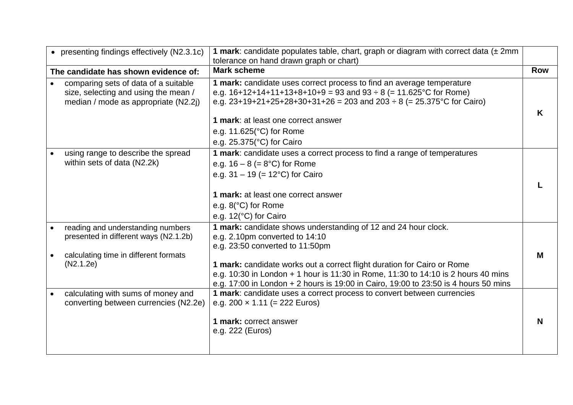| • presenting findings effectively (N2.3.1c) | <b>1 mark:</b> candidate populates table, chart, graph or diagram with correct data $(\pm 2mn)$ |            |
|---------------------------------------------|-------------------------------------------------------------------------------------------------|------------|
|                                             | tolerance on hand drawn graph or chart)                                                         |            |
| The candidate has shown evidence of:        | <b>Mark scheme</b>                                                                              | <b>Row</b> |
| comparing sets of data of a suitable        | 1 mark: candidate uses correct process to find an average temperature                           |            |
| size, selecting and using the mean /        | e.g. $16+12+14+11+13+8+10+9 = 93$ and $93 \div 8 = 11.625^{\circ}$ C for Rome)                  |            |
| median / mode as appropriate (N2.2j)        | e.g. $23+19+21+25+28+30+31+26 = 203$ and $203 \div 8$ (= 25.375°C for Cairo)                    |            |
|                                             |                                                                                                 | K          |
|                                             | 1 mark: at least one correct answer                                                             |            |
|                                             | e.g. $11.625$ ( $^{\circ}$ C) for Rome                                                          |            |
|                                             | e.g. $25.375$ (°C) for Cairo                                                                    |            |
| using range to describe the spread          | 1 mark: candidate uses a correct process to find a range of temperatures                        |            |
| within sets of data (N2.2k)                 | e.g. $16 - 8 (= 8°C)$ for Rome                                                                  |            |
|                                             | e.g. $31 - 19$ (= 12°C) for Cairo                                                               |            |
|                                             |                                                                                                 |            |
|                                             | 1 mark: at least one correct answer                                                             |            |
|                                             | e.g. $8$ ( $^{\circ}$ C) for Rome                                                               |            |
|                                             | e.g. 12(°C) for Cairo                                                                           |            |
| reading and understanding numbers           | 1 mark: candidate shows understanding of 12 and 24 hour clock.                                  |            |
| presented in different ways (N2.1.2b)       | e.g. 2.10pm converted to 14:10                                                                  |            |
|                                             | e.g. 23:50 converted to 11:50pm                                                                 |            |
| calculating time in different formats       |                                                                                                 | М          |
| (N2.1.2e)                                   | 1 mark: candidate works out a correct flight duration for Cairo or Rome                         |            |
|                                             | e.g. 10:30 in London + 1 hour is 11:30 in Rome, 11:30 to 14:10 is 2 hours 40 mins               |            |
|                                             | e.g. 17:00 in London + 2 hours is 19:00 in Cairo, 19:00 to 23:50 is 4 hours 50 mins             |            |
| calculating with sums of money and          | 1 mark: candidate uses a correct process to convert between currencies                          |            |
| converting between currencies (N2.2e)       | e.g. $200 \times 1.11$ (= 222 Euros)                                                            |            |
|                                             |                                                                                                 |            |
|                                             | 1 mark: correct answer                                                                          | N          |
|                                             | e.g. 222 (Euros)                                                                                |            |
|                                             |                                                                                                 |            |
|                                             |                                                                                                 |            |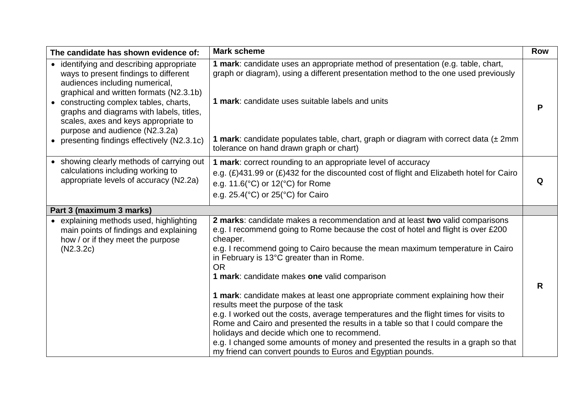| The candidate has shown evidence of:                                                                                                                                                                                                                                                                                                                                          | <b>Mark scheme</b>                                                                                                                                                                                                                                                                                                                                                                                                                                                                                                                                                                                                                                                                                                                                                                                                                                                            | <b>Row</b> |
|-------------------------------------------------------------------------------------------------------------------------------------------------------------------------------------------------------------------------------------------------------------------------------------------------------------------------------------------------------------------------------|-------------------------------------------------------------------------------------------------------------------------------------------------------------------------------------------------------------------------------------------------------------------------------------------------------------------------------------------------------------------------------------------------------------------------------------------------------------------------------------------------------------------------------------------------------------------------------------------------------------------------------------------------------------------------------------------------------------------------------------------------------------------------------------------------------------------------------------------------------------------------------|------------|
| • identifying and describing appropriate<br>ways to present findings to different<br>audiences including numerical,<br>graphical and written formats (N2.3.1b)<br>• constructing complex tables, charts,<br>graphs and diagrams with labels, titles,<br>scales, axes and keys appropriate to<br>purpose and audience (N2.3.2a)<br>• presenting findings effectively (N2.3.1c) | 1 mark: candidate uses an appropriate method of presentation (e.g. table, chart,<br>graph or diagram), using a different presentation method to the one used previously<br>1 mark: candidate uses suitable labels and units<br><b>1 mark:</b> candidate populates table, chart, graph or diagram with correct data $(\pm 2mn)$<br>tolerance on hand drawn graph or chart)                                                                                                                                                                                                                                                                                                                                                                                                                                                                                                     | P          |
| • showing clearly methods of carrying out<br>calculations including working to<br>appropriate levels of accuracy (N2.2a)                                                                                                                                                                                                                                                      | 1 mark: correct rounding to an appropriate level of accuracy<br>e.g. $(E)$ 431.99 or $(E)$ 432 for the discounted cost of flight and Elizabeth hotel for Cairo<br>e.g. 11.6(°C) or 12(°C) for Rome<br>e.g. 25.4(°C) or 25(°C) for Cairo                                                                                                                                                                                                                                                                                                                                                                                                                                                                                                                                                                                                                                       | Q          |
| Part 3 (maximum 3 marks)                                                                                                                                                                                                                                                                                                                                                      |                                                                                                                                                                                                                                                                                                                                                                                                                                                                                                                                                                                                                                                                                                                                                                                                                                                                               |            |
| • explaining methods used, highlighting<br>main points of findings and explaining<br>how / or if they meet the purpose<br>(N2.3.2c)                                                                                                                                                                                                                                           | 2 marks: candidate makes a recommendation and at least two valid comparisons<br>e.g. I recommend going to Rome because the cost of hotel and flight is over £200<br>cheaper.<br>e.g. I recommend going to Cairo because the mean maximum temperature in Cairo<br>in February is 13°C greater than in Rome.<br><b>OR</b><br>1 mark: candidate makes one valid comparison<br>1 mark: candidate makes at least one appropriate comment explaining how their<br>results meet the purpose of the task<br>e.g. I worked out the costs, average temperatures and the flight times for visits to<br>Rome and Cairo and presented the results in a table so that I could compare the<br>holidays and decide which one to recommend.<br>e.g. I changed some amounts of money and presented the results in a graph so that<br>my friend can convert pounds to Euros and Egyptian pounds. | R          |